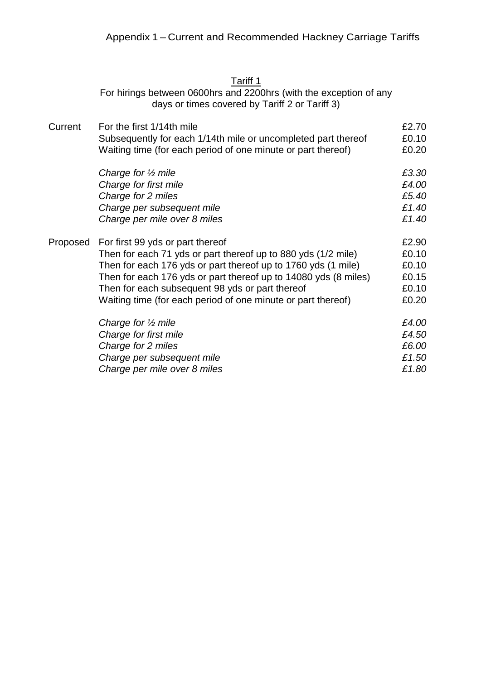## <u>Tariff 1</u>

For hirings between 0600hrs and 2200hrs (with the exception of any days or times covered by Tariff 2 or Tariff 3)

| Current  | For the first 1/14th mile                                       | £2.70 |
|----------|-----------------------------------------------------------------|-------|
|          | Subsequently for each 1/14th mile or uncompleted part thereof   | £0.10 |
|          | Waiting time (for each period of one minute or part thereof)    | £0.20 |
|          | Charge for $\frac{1}{2}$ mile                                   | £3.30 |
|          | Charge for first mile                                           | £4.00 |
|          | Charge for 2 miles                                              | £5.40 |
|          | Charge per subsequent mile                                      | £1.40 |
|          | Charge per mile over 8 miles                                    | £1.40 |
| Proposed | For first 99 yds or part thereof                                | £2.90 |
|          | Then for each 71 yds or part thereof up to 880 yds (1/2 mile)   | £0.10 |
|          | Then for each 176 yds or part thereof up to 1760 yds (1 mile)   | £0.10 |
|          | Then for each 176 yds or part thereof up to 14080 yds (8 miles) | £0.15 |
|          | Then for each subsequent 98 yds or part thereof                 | £0.10 |
|          | Waiting time (for each period of one minute or part thereof)    | £0.20 |
|          | Charge for $\frac{1}{2}$ mile                                   | £4.00 |
|          | Charge for first mile                                           | £4.50 |
|          | Charge for 2 miles                                              | £6.00 |
|          | Charge per subsequent mile                                      | £1.50 |
|          | Charge per mile over 8 miles                                    | £1.80 |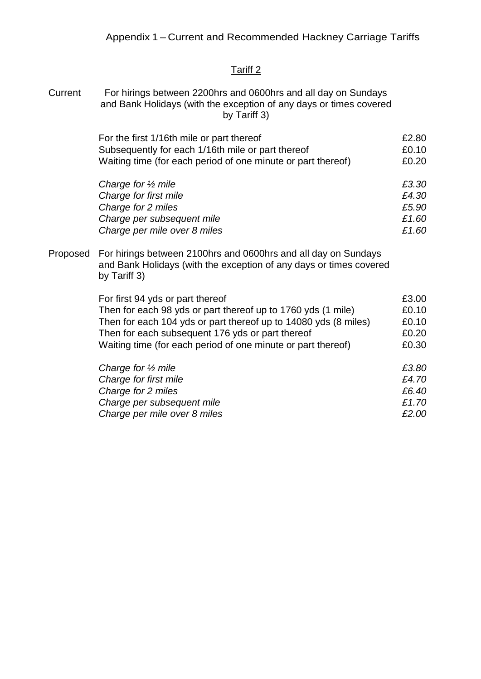## Tariff 2

Current For hirings between 2200hrs and 0600hrs and all day on Sundays and Bank Holidays (with the exception of any days or times covered by Tariff 3)

| For the first 1/16th mile or part thereof                    | £2.80 |
|--------------------------------------------------------------|-------|
| Subsequently for each 1/16th mile or part thereof            | £0.10 |
| Waiting time (for each period of one minute or part thereof) | £0.20 |

| Charge for $\frac{1}{2}$ mile | £3.30 |
|-------------------------------|-------|
| Charge for first mile         | £4.30 |
| Charge for 2 miles            | £5.90 |
| Charge per subsequent mile    | £1.60 |
| Charge per mile over 8 miles  | £1.60 |

Proposed For hirings between 2100hrs and 0600hrs and all day on Sundays and Bank Holidays (with the exception of any days or times covered by Tariff 3)

| For first 94 yds or part thereof                                | £3.00 |
|-----------------------------------------------------------------|-------|
| Then for each 98 yds or part thereof up to 1760 yds (1 mile)    | £0.10 |
| Then for each 104 yds or part thereof up to 14080 yds (8 miles) | £0.10 |
| Then for each subsequent 176 yds or part thereof                | £0.20 |
| Waiting time (for each period of one minute or part thereof)    | £0.30 |
| Charge for $\frac{1}{2}$ mile                                   | £3.80 |
| Charge for first mile                                           | £4.70 |
| Charge for 2 miles                                              | £6.40 |
| Charge per subsequent mile                                      | £1.70 |
| Charge per mile over 8 miles                                    | £2.00 |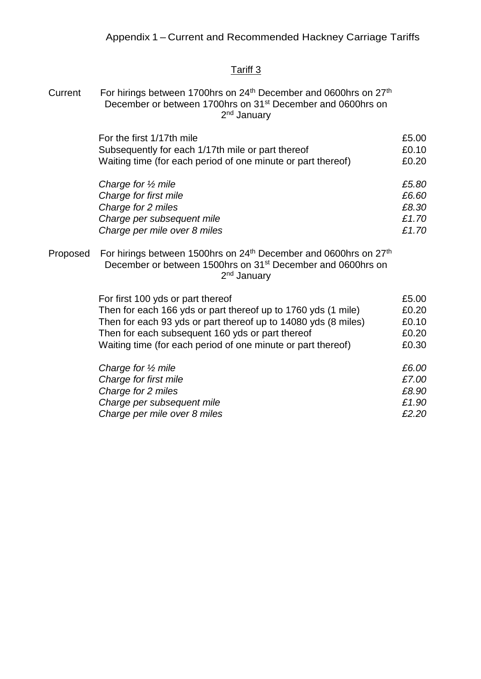## Tariff 3

Current For hirings between 1700hrs on 24<sup>th</sup> December and 0600hrs on 27<sup>th</sup> December or between 1700hrs on 31<sup>st</sup> December and 0600hrs on 2<sup>nd</sup> January

| For the first 1/17th mile                                    | £5.00 |
|--------------------------------------------------------------|-------|
| Subsequently for each 1/17th mile or part thereof            | £0.10 |
| Waiting time (for each period of one minute or part thereof) | £0.20 |
| Charge for $\frac{1}{2}$ mile                                | £5.80 |

| Charge for first mile        | £6.60 |
|------------------------------|-------|
| Charge for 2 miles           | £8.30 |
| Charge per subsequent mile   | £1.70 |
| Charge per mile over 8 miles | £1.70 |

Proposed For hirings between 1500hrs on 24<sup>th</sup> December and 0600hrs on 27<sup>th</sup> December or between 1500hrs on 31st December and 0600hrs on 2<sup>nd</sup> January

| For first 100 yds or part thereof                              | £5.00 |
|----------------------------------------------------------------|-------|
| Then for each 166 yds or part thereof up to 1760 yds (1 mile)  | £0.20 |
| Then for each 93 yds or part thereof up to 14080 yds (8 miles) | £0.10 |
| Then for each subsequent 160 yds or part thereof               | £0.20 |
| Waiting time (for each period of one minute or part thereof)   | £0.30 |
| Charge for $\frac{1}{2}$ mile                                  | £6.00 |
| Charge for first mile                                          | £7.00 |
| Charge for 2 miles                                             | £8.90 |
| Charge per subsequent mile                                     | £1.90 |

*Charge per mile over 8 miles £2.20*